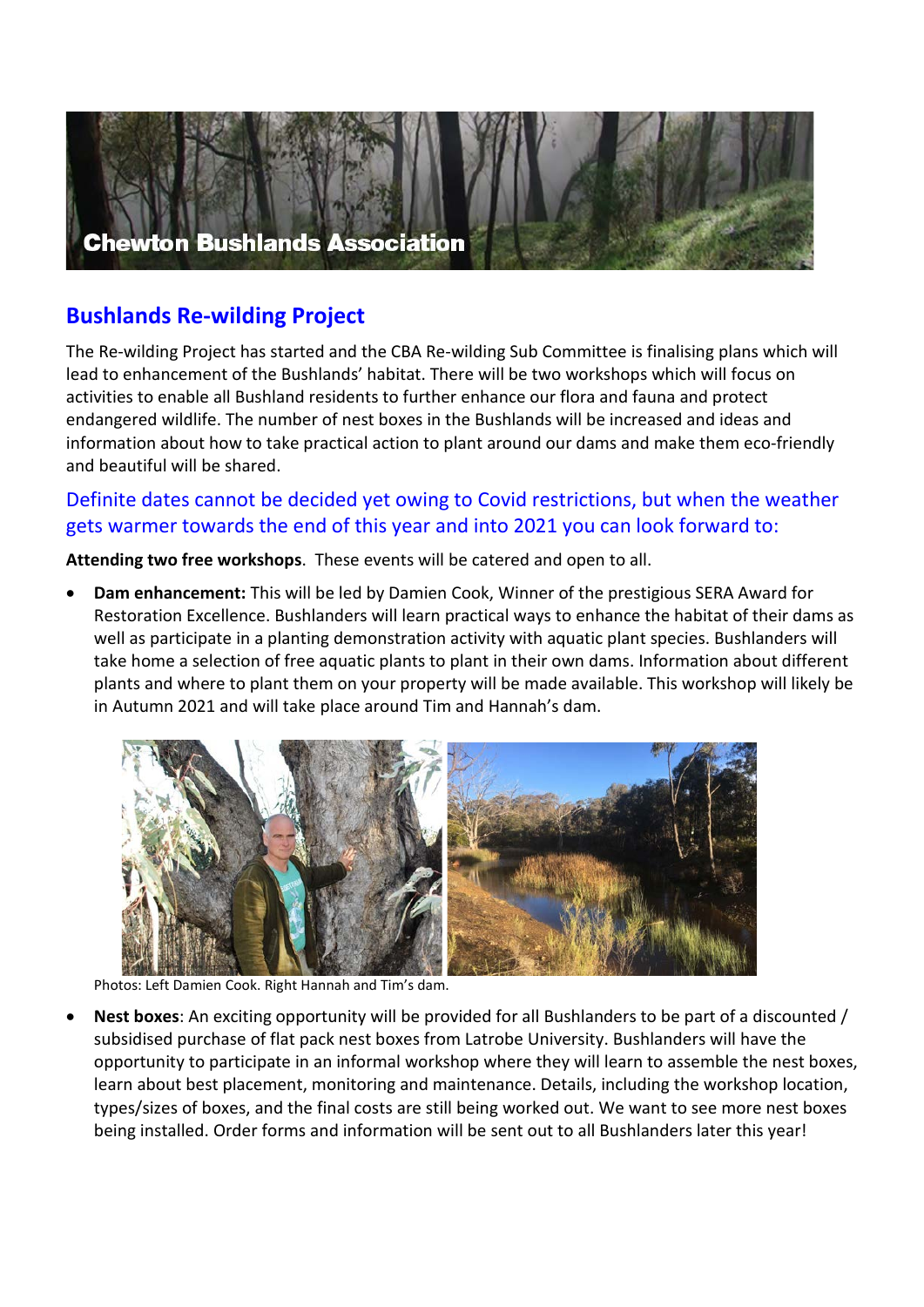

## **Bushlands Re-wilding Project**

The Re-wilding Project has started and the CBA Re-wilding Sub Committee is finalising plans which will lead to enhancement of the Bushlands' habitat. There will be two workshops which will focus on activities to enable all Bushland residents to further enhance our flora and fauna and protect endangered wildlife. The number of nest boxes in the Bushlands will be increased and ideas and information about how to take practical action to plant around our dams and make them eco-friendly and beautiful will be shared.

## Definite dates cannot be decided yet owing to Covid restrictions, but when the weather gets warmer towards the end of this year and into 2021 you can look forward to:

**Attending two free workshops**. These events will be catered and open to all.

• **Dam enhancement:** This will be led by Damien Cook, Winner of the prestigious SERA Award for Restoration Excellence. Bushlanders will learn practical ways to enhance the habitat of their dams as well as participate in a planting demonstration activity with aquatic plant species. Bushlanders will take home a selection of free aquatic plants to plant in their own dams. Information about different plants and where to plant them on your property will be made available. This workshop will likely be in Autumn 2021 and will take place around Tim and Hannah's dam.



Photos: Left Damien Cook. Right Hannah and Tim's dam.

• **Nest boxes**: An exciting opportunity will be provided for all Bushlanders to be part of a discounted / subsidised purchase of flat pack nest boxes from Latrobe University. Bushlanders will have the opportunity to participate in an informal workshop where they will learn to assemble the nest boxes, learn about best placement, monitoring and maintenance. Details, including the workshop location, types/sizes of boxes, and the final costs are still being worked out. We want to see more nest boxes being installed. Order forms and information will be sent out to all Bushlanders later this year!